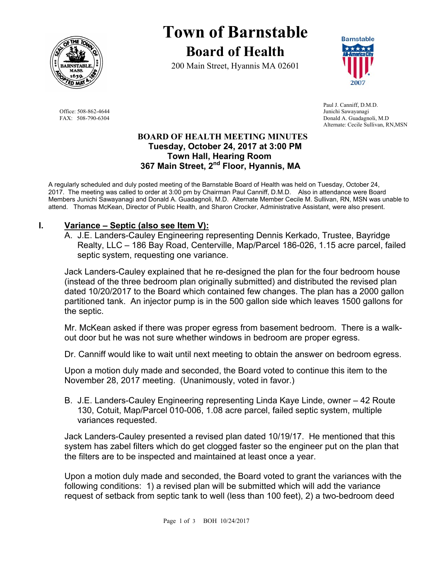

**Town of Barnstable Board of Health**

200 Main Street, Hyannis MA 02601



 Paul J. Canniff, D.M.D. Office: 508-862-4644 Junichi Sawayanagi<br>
FAX: 508-790-6304 Donald A. Guadagne Donald A. Guadagnoli, M.D. Alternate: Cecile Sullivan, RN,MSN

#### **BOARD OF HEALTH MEETING MINUTES Tuesday, October 24, 2017 at 3:00 PM Town Hall, Hearing Room 367 Main Street, 2nd Floor, Hyannis, MA**

A regularly scheduled and duly posted meeting of the Barnstable Board of Health was held on Tuesday, October 24, 2017. The meeting was called to order at 3:00 pm by Chairman Paul Canniff, D.M.D. Also in attendance were Board Members Junichi Sawayanagi and Donald A. Guadagnoli, M.D. Alternate Member Cecile M. Sullivan, RN, MSN was unable to attend. Thomas McKean, Director of Public Health, and Sharon Crocker, Administrative Assistant, were also present.

# **I. Variance – Septic (also see Item V):**

A. J.E. Landers-Cauley Engineering representing Dennis Kerkado, Trustee, Bayridge Realty, LLC – 186 Bay Road, Centerville, Map/Parcel 186-026, 1.15 acre parcel, failed septic system, requesting one variance.

Jack Landers-Cauley explained that he re-designed the plan for the four bedroom house (instead of the three bedroom plan originally submitted) and distributed the revised plan dated 10/20/2017 to the Board which contained few changes. The plan has a 2000 gallon partitioned tank. An injector pump is in the 500 gallon side which leaves 1500 gallons for the septic.

Mr. McKean asked if there was proper egress from basement bedroom. There is a walkout door but he was not sure whether windows in bedroom are proper egress.

Dr. Canniff would like to wait until next meeting to obtain the answer on bedroom egress.

Upon a motion duly made and seconded, the Board voted to continue this item to the November 28, 2017 meeting. (Unanimously, voted in favor.)

B. J.E. Landers-Cauley Engineering representing Linda Kaye Linde, owner – 42 Route 130, Cotuit, Map/Parcel 010-006, 1.08 acre parcel, failed septic system, multiple variances requested.

Jack Landers-Cauley presented a revised plan dated 10/19/17. He mentioned that this system has zabel filters which do get clogged faster so the engineer put on the plan that the filters are to be inspected and maintained at least once a year.

Upon a motion duly made and seconded, the Board voted to grant the variances with the following conditions: 1) a revised plan will be submitted which will add the variance request of setback from septic tank to well (less than 100 feet), 2) a two-bedroom deed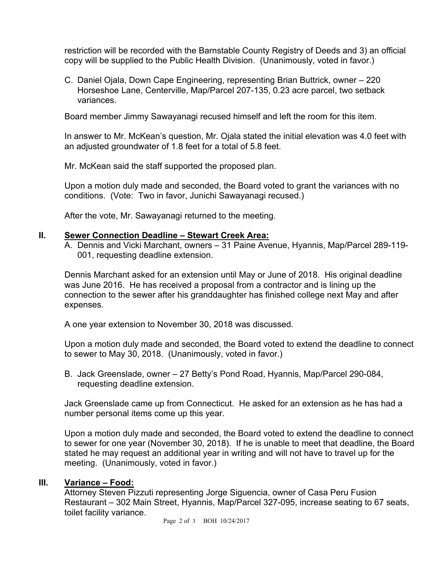restriction will be recorded with the Barnstable County Registry of Deeds and 3) an official copy will be supplied to the Public Health Division. (Unanimously, voted in favor.)

C. Daniel Ojala, Down Cape Engineering, representing Brian Buttrick, owner – 220 Horseshoe Lane, Centerville, Map/Parcel 207-135, 0.23 acre parcel, two setback variances.

Board member Jimmy Sawayanagi recused himself and left the room for this item.

In answer to Mr. McKean's question, Mr. Ojala stated the initial elevation was 4.0 feet with an adjusted groundwater of 1.8 feet for a total of 5.8 feet.

Mr. McKean said the staff supported the proposed plan.

Upon a motion duly made and seconded, the Board voted to grant the variances with no conditions. (Vote: Two in favor, Junichi Sawayanagi recused.)

After the vote, Mr. Sawayanagi returned to the meeting.

### **II. Sewer Connection Deadline – Stewart Creek Area:**

A. Dennis and Vicki Marchant, owners – 31 Paine Avenue, Hyannis, Map/Parcel 289-119- 001, requesting deadline extension.

Dennis Marchant asked for an extension until May or June of 2018. His original deadline was June 2016. He has received a proposal from a contractor and is lining up the connection to the sewer after his granddaughter has finished college next May and after expenses.

A one year extension to November 30, 2018 was discussed.

Upon a motion duly made and seconded, the Board voted to extend the deadline to connect to sewer to May 30, 2018. (Unanimously, voted in favor.)

B. Jack Greenslade, owner – 27 Betty's Pond Road, Hyannis, Map/Parcel 290-084, requesting deadline extension.

Jack Greenslade came up from Connecticut. He asked for an extension as he has had a number personal items come up this year.

Upon a motion duly made and seconded, the Board voted to extend the deadline to connect to sewer for one year (November 30, 2018). If he is unable to meet that deadline, the Board stated he may request an additional year in writing and will not have to travel up for the meeting. (Unanimously, voted in favor.)

# **III. Variance – Food:**

Attorney Steven Pizzuti representing Jorge Siguencia, owner of Casa Peru Fusion Restaurant – 302 Main Street, Hyannis, Map/Parcel 327-095, increase seating to 67 seats, toilet facility variance.